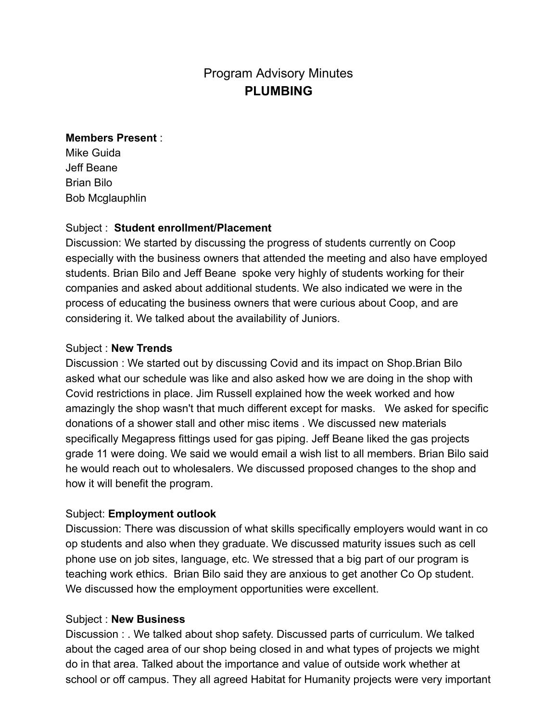# Program Advisory Minutes **PLUMBING**

#### **Members Present** :

Mike Guida Jeff Beane Brian Bilo Bob Mcglauphlin

## Subject : **Student enrollment/Placement**

Discussion: We started by discussing the progress of students currently on Coop especially with the business owners that attended the meeting and also have employed students. Brian Bilo and Jeff Beane spoke very highly of students working for their companies and asked about additional students. We also indicated we were in the process of educating the business owners that were curious about Coop, and are considering it. We talked about the availability of Juniors.

## Subject : **New Trends**

Discussion : We started out by discussing Covid and its impact on Shop.Brian Bilo asked what our schedule was like and also asked how we are doing in the shop with Covid restrictions in place. Jim Russell explained how the week worked and how amazingly the shop wasn't that much different except for masks. We asked for specific donations of a shower stall and other misc items . We discussed new materials specifically Megapress fittings used for gas piping. Jeff Beane liked the gas projects grade 11 were doing. We said we would email a wish list to all members. Brian Bilo said he would reach out to wholesalers. We discussed proposed changes to the shop and how it will benefit the program.

## Subject: **Employment outlook**

Discussion: There was discussion of what skills specifically employers would want in co op students and also when they graduate. We discussed maturity issues such as cell phone use on job sites, language, etc. We stressed that a big part of our program is teaching work ethics. Brian Bilo said they are anxious to get another Co Op student. We discussed how the employment opportunities were excellent.

#### Subject : **New Business**

Discussion : . We talked about shop safety. Discussed parts of curriculum. We talked about the caged area of our shop being closed in and what types of projects we might do in that area. Talked about the importance and value of outside work whether at school or off campus. They all agreed Habitat for Humanity projects were very important